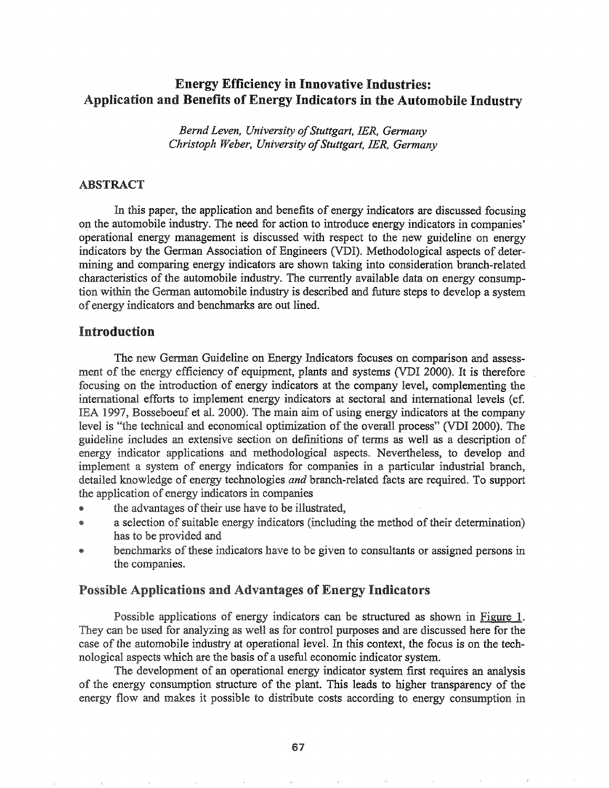# Energy Efficiency in Innovative Industries: Application and Benefits of Energy Indicators in the Automobile Industry

*Bernd Leven, University ofStuttgart, JER, Germany Christoph Weber, University ofStuttgart, JER, Germany*

#### ABSTRACT

In this paper, the application and benefits of energy indicators are discussed focusing on the automobile industry. The need for action to introduce energy indicators in companies' operational energy management is discussed with respect to the new guideline on energy indicators by the German Association of Engineers (VDI). Methodological aspects of determining and comparing energy indicators are shown taking into consideration branch-related characteristics of the automobile industry. The currently available data on energy consumption within the German automobile industry is described and future steps to develop a system of energy indicators and benchmarks are out lined.

### Introduction

The new German Guideline on Energy Indicators focuses on comparison and assessment of the energy efficiency of equipment, plants and systems (VDI 2000). It is therefore focusing on the introduction of energy indicators at the company level, complementing the international efforts to implement energy indicators at sectoral and international levels (cf. 1997, Bosseboeuf et aL 2000). The main aim of using energy indicators at the company level is "the technical and economical optimization of the overall process" (VDI 2000). The guideline includes an extensive section on definitions of terms as well as a description of energy indicator applications and methodological aspects & Nevertheless, to develop and implement a system of energy indicators for companies in a particular industrial branch, detailed knowledge of energy technologies *and* branch-related facts are required.. To support the application of energy indicators in companies

- the advantages of their use have to be illustrated,
- a selection of suitable energy indicators (including the method of their determination) has to be provided and
- benchmarks of these indicators have to be given to consultants or assigned persons in the companies.

# Possible Applications and Advantages of Energy Indicators

Possible applications of energy indicators can be structured as shown in Figure 1. They can be used for analyzing as well as for control purposes and are discussed here for the case of the automobile industry at operational level. In this context, the focus is on the technological aspects which are the basis of a useful economic indicator system..

The development of an operational energy indicator system first requires an analysis of the energy consumption structure of the plant. This leads to higher transparency of the energy flow and makes it possible to distribute costs according to energy consumption in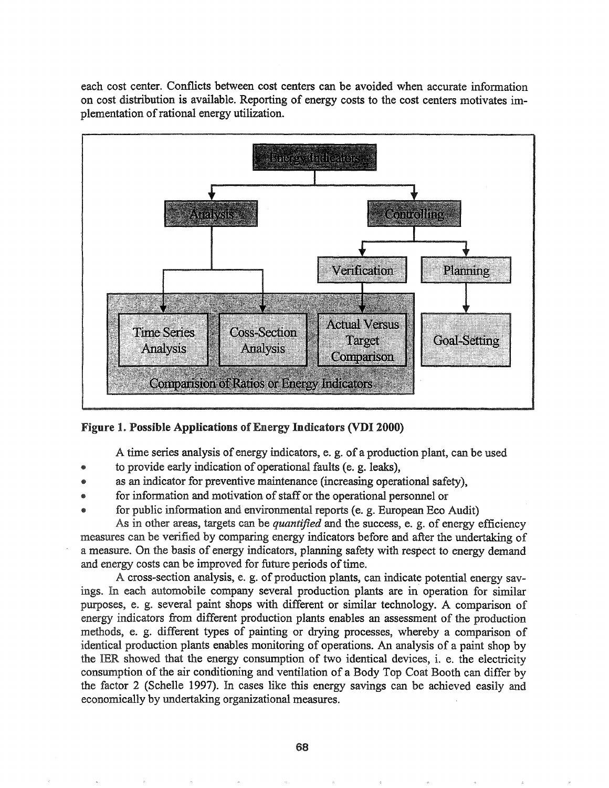each cost center. Conflicts between cost centers can be avoided when accurate information on cost distribution is available. Reporting of energy costs to the cost centers motivates implementation of rational energy utilization.



### Figure 1. Possible Applications of Energy Indicators (VDI 2000)

A time series analysis of energy indicators, e. g. of a production plant, can be used

- to provide early indication of operational faults (e. g. leaks),
- as an indicator for preventive maintenance (increasing operational safety),
- for information and motivation of staff or the operational personnel or
- for public information and environmental reports (e. g. European Eco Audit)

As in other areas, targets can be *quantified* and the success, e. g. of energy efficiency measures can be verified by comparing energy indicators before and after the undertaking of a measure.. On the basis of energy indicators, planning safety with respect to energy demand and energy costs can be improved for future periods of time.

A cross-section analysis, e. g. of production plants, can indicate potential energy savings. In each automobile company several production plants are in operation for similar purposes, e. g. several paint shops with different or similar technology. A comparison of energy indicators from different production plants enables an assessment of the production methods, e. g. different types of painting or drying processes, whereby a comparison of identical production plants enables monitoring of operations. An analysis of a paint shop by the IER showed that the energy consumption of two identical devices, i. e. the electricity consumption of the air conditioning and ventilation of a Body Top Coat Booth can differ by the factor 2 (Schelle 1997). In cases like this energy savings can be achieved easily and economically by undertaking organizational measures.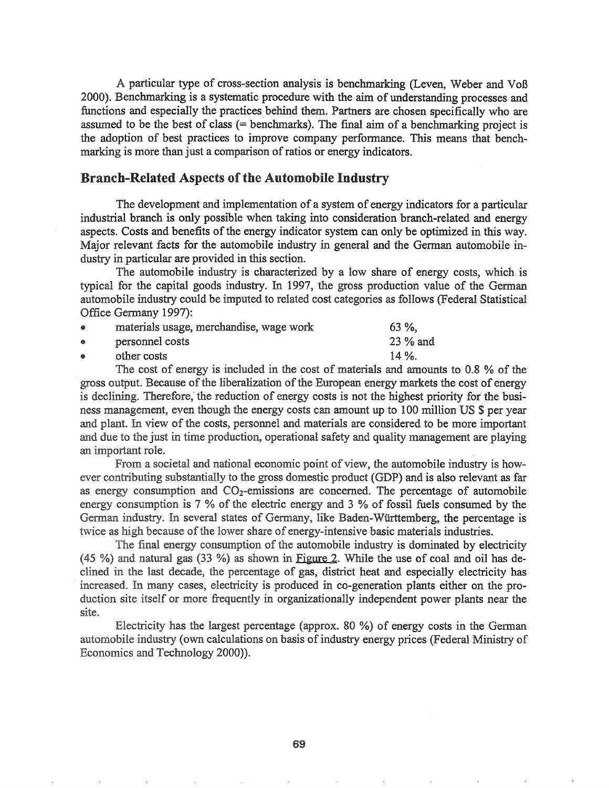A particular type of cross-section analysis is benchmarking (Leven, Weber and VoB 2000). Benchmarking is a systematic procedure with the aim of understanding processes and functions and especially the practices behind them. Partners are chosen specifically who are assumed to be the best of class (= benchmarks). The final aim of a benchmarking project is the adoption of best practices to improve company performance. This means that benchmarking is more than just a comparison of ratios or energy indicators.

# Branch-Related Aspects of the Automobile Industry

The development and implementation of a system of energy indicators for a particular industrial branch is only possible when taking into consideration branch-related and energy aspects. Costs and benefits of the energy indicator system can only be optimized in this way. Major relevant facts for the automobile industry in general and the German automobile industry in particular are provided in this section.

The automobile industry is characterized by a low share of energy costs, which is typical for the capital goods industry. In 1997, the gross production value of the German automobile industry could be imputed to related cost categories as follows' (Federal Statistical Office Germany 1997):

| $\bullet$ | materials usage, merchandise, wage work | $63 \%$  |
|-----------|-----------------------------------------|----------|
| ۰         | personnel costs                         | 23 % and |
| $\bullet$ | other costs                             | $14\%$ . |

The cost of energy is included in the cost of materials and amounts to 0.8  $\%$  of the gross output. Because of the liberalization of the European energy markets the cost of energy is declining. Therefore, the reduction of energy costs is not the highest priority for the business management, even though the energy costs can amount up to 100 million US \$ per year and plant. In view of the costs, personnel and materials are considered to be more important and due to the just in time production, operational safety and quality management are playing an important role.

From a societal and national economic point of view, the automobile industry is however contributing substantially to the gross domestic product (GDP) and is also relevant as far as energy consumption and  $CO<sub>2</sub>$ -emissions are concerned. The percentage of automobile energy consumption is  $7\%$  of the electric energy and  $3\%$  of fossil fuels consumed by the German industry. In several states of Germany, like Baden-Württemberg, the percentage is twice as high because of the lower share of energy-intensive basic materials industries.

The final energy consumption of the automobile industry is dominated by electricity  $(45 \%)$  and natural gas  $(33 \%)$  as shown in Figure 2. While the use of coal and oil has declined in the last decade, the percentage of gas, district heat and especially electricity has increased. In many cases, electricity is produced in co-generation plants either on the production site itself or more frequently in organizationally independent power plants near the site.

Electricity has the largest percentage (approx. 80 %) of energy costs in the German automobile industry (own calculations on basis of industry energy prices (Federal Ministry of Economics and Technology 2000).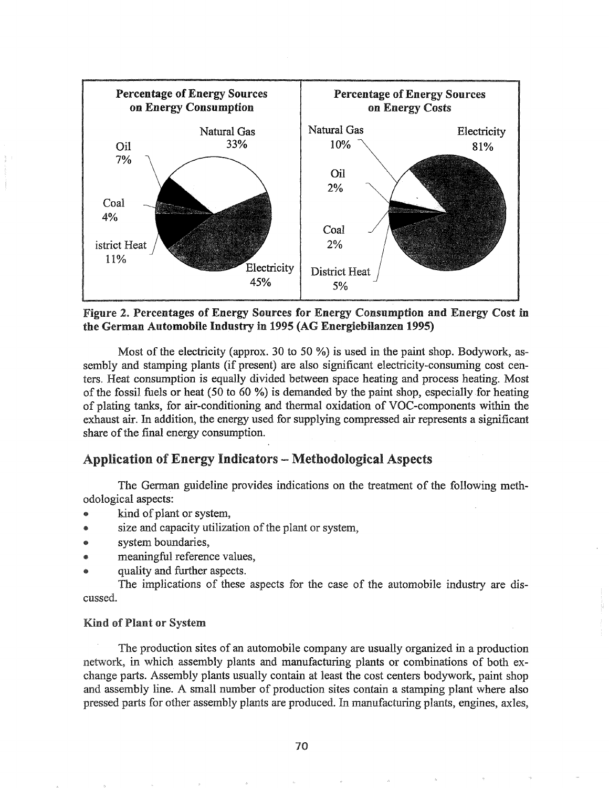

Figure 2& Percentages of Energy Sources for Energy Consumption and Energy Cost in the German Automobile Industry in 1995 (AG Energiebilanzen 1995)

Most of the electricity (approx. 30 to 50 %) is used in the paint shop. Bodywork, assembly and stamping plants (if present) are also significant electricity-consuming cost centers. Heat consumption is equally divided between space heating and process heating. Most of the fossil fuels or heat  $(50 \text{ to } 60 \%)$  is demanded by the paint shop, especially for heating. of plating tanks, for air-conditioning and thermal oxidation of VOC-components within the exhaust air. In addition, the energy used for supplying compressed air represents a significant share of the final energy consumption.

# Application of Energy Indicators - Methodological Aspects

The German guideline provides indications on the treatment of the following methodological aspects:

- kind of plant or system,
- size and capacity utilization of the plant or system,
- system boundaries,
- meaningful reference values,
- quality and further aspects.

The implications of these aspects for the case of the automobile industry are discussed.

#### **Kind of Plant or System**

The production sites of an automobile company are usually organized in a production network, in which assembly plants and manufacturing plants or combinations of both exchange parts. Assembly plants usually contain at least the cost centers bodywork, paint shop and assembly line. A small number of production sites contain a stamping plant where also pressed parts for other assembly plants are produced. In manufacturing plants, engines, axles,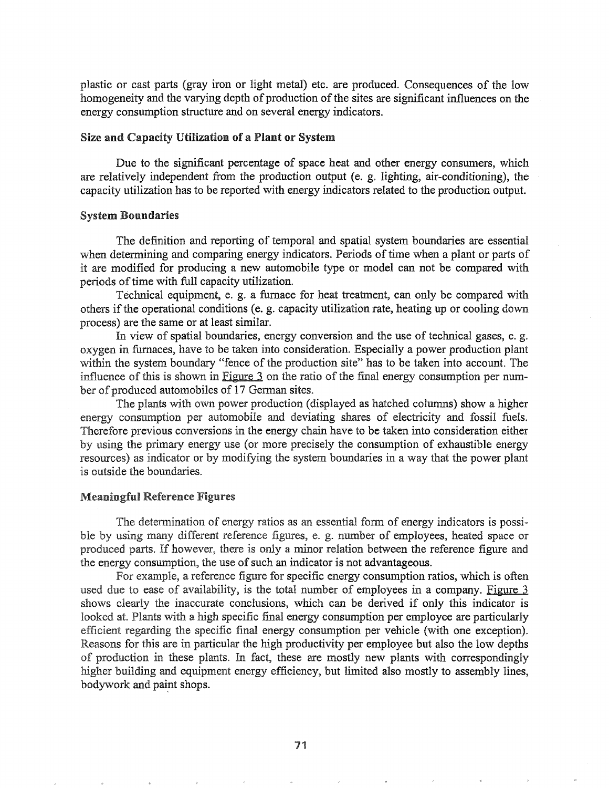plastic or cast parts (gray iron or light metal) etc. are produced. Consequences of the low homogeneity and the varying depth of production of the sites are significant influences on the energy consumption structure and on several energy indicators.

#### Size and Capacity Utilization of a Plant or System

Due to the significant percentage of space heat and other energy consumers, which are relatively independent from the production output (e. g. lighting, air-conditioning), the capacity utilization has to be reported with energy indicators related to the production output.

#### System Boundaries

The definition and reporting of temporal and spatial system boundaries are essential when determining and comparing energy indicators. Periods of time when a plant or parts of it are modified for producing a new automobile type or model can not be compared with periods of time with full capacity utilization.

Technical equipment, e. g. a furnace for heat treatment, can only be compared with others if the operational conditions (e. g. capacity utilization rate, heating up or cooling down process) are the same or at least similar.

In view of spatial boundaries, energy conversion and the use of technical gases, e. g. oxygen in furnaces, have to be taken into consideration. Especially a power production plant within the system boundary "fence of the production site" has to be taken into account. The influence of this is shown in Figure 3 on the ratio of the final energy consumption per number of produced automobiles of 17 German sites.

The plants with own power production (displayed as hatched columns) show a higher energy consumption per automobile and deviating shares of electricity and fossil fuels. Therefore previous conversions in the energy chain have to be taken into consideration either by using the primary energy use (or more precisely the consumption of exhaustible energy resources) as indicator or by modifying the system boundaries in a way that the power plant is outside the boundaries.

#### **Meaningful Reference Figures**

The determination of energy ratios as an essential form of energy indicators is possible by using many different reference figures, e. g. number of employees, heated space or produced parts. If however, there is only a minor relation between the reference figure and the energy consumption, the use of such an indicator is not advantageous.

For example, a reference figure for specific energy consumption ratios, which is often used due to ease of availability, is the total number of employees in a company. Figure 3 shows clearly the inaccurate conclusions, which can be derived if only this indicator is looked at. Plants with a high specific final energy consumption per employee are particularly efficient regarding the specific final energy consumption per vehicle (with one exception). Reasons for this are in particular the high productivity per employee but also the low depths of production in these plants. In fact, these are mostly new plants with correspondingly higher building and equipment energy efficiency, but limited also mostly to assembly lines, bodywork and paint shops.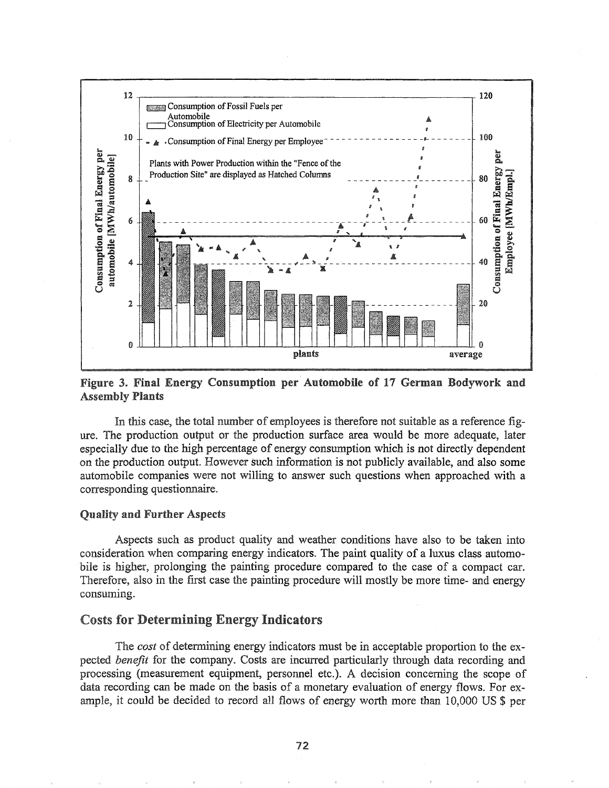

Figure 3. Final Energy Consumption per Automobile of 17 German Bodywork and **Assembly Plants** 

In this case, the total number of employees is therefore not suitable as a reference figure. The production output or the production surface area would be more adequate, later especially due to the high percentage of energy consumption which is not directly dependent on the production output. However such information is not publicly available, and also some automobile companies were not willing to answer such questions when approached with a corresponding questionnaire.

#### Quality and Further Aspects

Aspects such as product quality and weather conditions have also to be taken into consideration when comparing energy indicators. The paint quality of a luxus class automobile is higher, prolonging the painting procedure compared to the case of a compact car. Therefore, also in the first case the painting procedure will mostly be more time- and energy consuming.

# **Costs for Determining Energy Indicators**

*cost* of determining energy indicators must be in acceptable proportion to the expected *benefit* for the company. Costs are incurred particularly through data recording and processing (measurement equipment, personnel etc.). A decision concerning the scope of data recording can be made on the basis of a monetary evaluation of energy flows. For example, it could be decided to record all flows of energy worth more than 10,000 US \$ per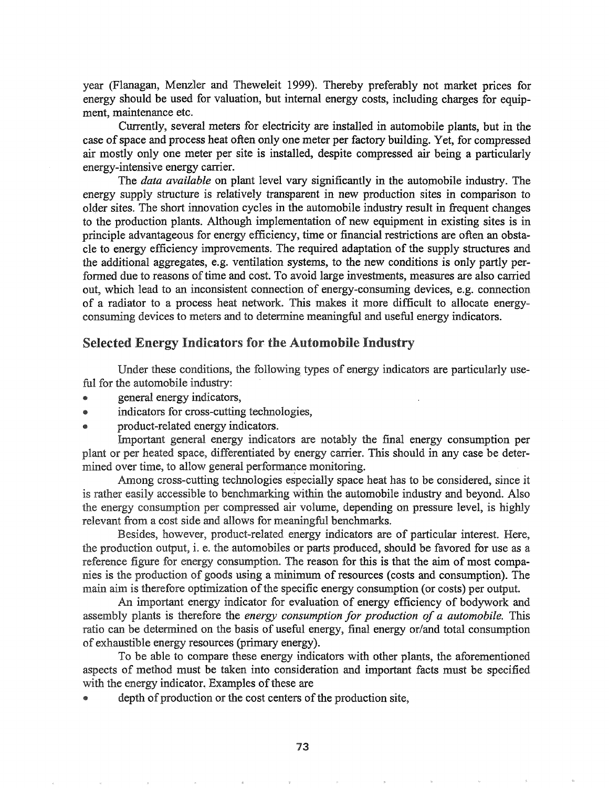year (Flanagan, Menzler and Theweleit 1999). Thereby preferably not market prices for energy should be used for valuation, but internal energy costs, including charges for equipment, maintenance etc.

Currently, several meters for electricity are installed in automobile plants, but in the case of space and process heat often only one meter per factory building. Yet, for compressed air mostly only one meter per site is installed, despite compressed air being a particularly energy-intensive energy carrier.

The *data available* on plant level vary significantly in the automobile industry. The energy supply structure is relatively transparent in new production sites in comparison to older sites. The short innovation cycles in the automobile industry result in frequent changes to the production plants. Although implementation of new equipment in existing sites is in principle advantageous for energy efficiency, time or fmancial restrictions are often an obstacle to energy efficiency improvements. The required adaptation of the supply structures and the additional aggregates, e.g. ventilation systems, to the new conditions is only partly performed due to reasons of time and cost. To avoid large investments, measures are also carried out, which lead to an inconsistent connection of energy-consuming devices, e.g. connection of a radiator to a process heat network. This makes it more difficult to allocate energyconsuming devices to meters and to determine meaningful and useful energy indicators.

# Selected Energy Indicators for the Automobile Industry

Under these conditions, the following types of energy indicators are particularly useful for the automobile industry:

- e general energy indicators,
- e indicators for cross~cutting technologies,
- product-related energy indicators.

Important general energy indicators are notably the final energy consumption per plant or per heated space, differentiated by energy carrier. This should in any case be determined over time, to allow general performance monitoring.

Among cross-cutting technologies especially space heat has to be considered, since it is rather easily accessible to benchmarking within the automobile industry and beyond. Also the energy consumption per compressed air volume, depending on pressure level, is highly relevant from a cost side and allows for meaningful benchmarks.

Besides, however, product-related energy indicators are of particular interest. Here, the production output, i. e. the automobiles or parts produced, should be favored for use as a reference figure for energy consumption. The reason for this is that the aim of most companies is the production of goods using a minimum of resources (costs and consumption). The main aim is therefore optimization of the specific energy consumption (or costs) per output.

An important energy indicator for evaluation of energy efficiency of bodywork and assembly plants is therefore the *energy consumption for production of a automobile.* This ratio can be determined on the basis of useful energy, final energy or/and total consumption of exhaustible energy resources (primary energy).

To be able to compare these energy indicators with other plants, the aforementioned aspects of method must be taken into consideration and important facts must be specified with the energy indicator. Examples of these are

depth of production or the cost centers of the production site,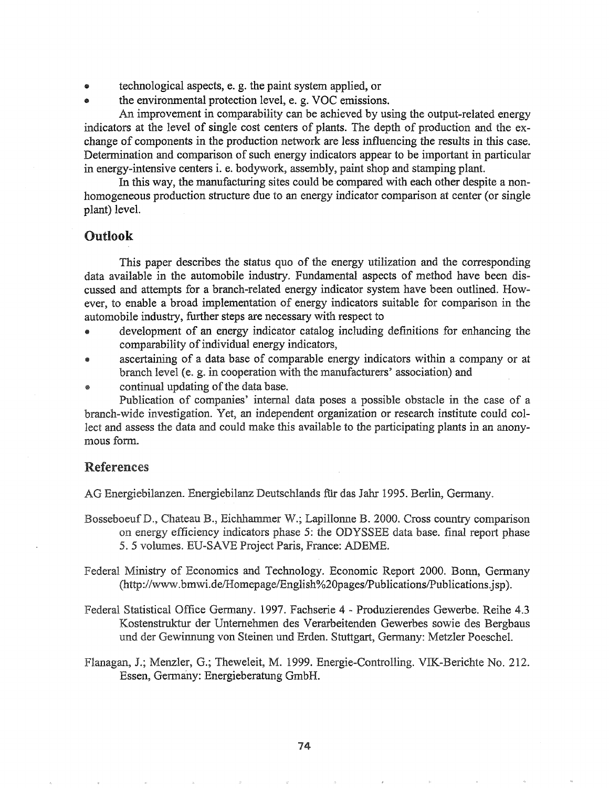- technological aspects, e. g. the paint system applied, or
- the environmental protection level, e. g. VOC emissions.

An improvement in comparability can be achieved by using the output-related energy indicators at the level of single cost centers of plants. The depth of production and the exchange of components in the production network are less influencing the results in this case. Determination and comparison of such energy indicators appear to be important in particular in energy-intensive centers i. e. bodywork, assembly, paint shop and stamping plant.

In this way, the manufacturing sites could be compared with each other despite a nonhomogeneous production structure due to an energy indicator comparison at center (or single plant) level.

# Outlook

This paper describes the status quo of the energy utilization and the corresponding data available in the automobile industry. Fundamental aspects of method have been discussed and attempts for a branch-related energy indicator system have been outlined.. However, to enable a broad implementation of energy indicators suitable for comparison in the automobile industry, further steps are necessary with respect to

- e development of an energy indicator catalog including defmitions for enhancing the comparability of individual energy indicators,
- ascertaining of a data base of comparable energy indicators within a company or at branch level (e. g. in cooperation with the manufacturers' association) and
- continual updating of the data base.

Publication of companies' internal data poses a possible obstacle in the case of a branch-wide investigation.. Yet, an independent organization or research institute could collect and assess the data and could make this available to the participating plants in an anonymous form..

# References

AG Energiebilanzen. Energiebilanz Deutschlands für das Jahr 1995. Berlin, Germany.

- Bosseboeuf D., Chateau B., Eichhammer W.; Lapillonne B. 2000. Cross country comparison on energy efficiency indicators phase 5: the ODYSSEE data base. final report phase 5. 5 vol.umes. ED-SAVE Project Paris, France: ADEME.
- Federal Ministry of Economics and Technology. Economic Report 2000. Bonn, Germany (http://www.bmwi.de/Homepage/English%20pages/Publications/Publications.jsp).
- Federal Statistical Office Germany. 1997. Fachserie 4 Produzierendes Gewerbe. Reihe 4.3 Kostenstruktur der Untemehmen des Verarbeitenden Gewerbes sowie des Bergbaus und der Gewinnung von Steinen und Erden. Stuttgart, Germany: Metzler Poeschel.
- Flanagan, J.; Menzler, G.; Theweleit, M. 1999. Energie-Controlling. VIK-Berichte No. 212. Essen, Germany: Energieberatung GmbH.